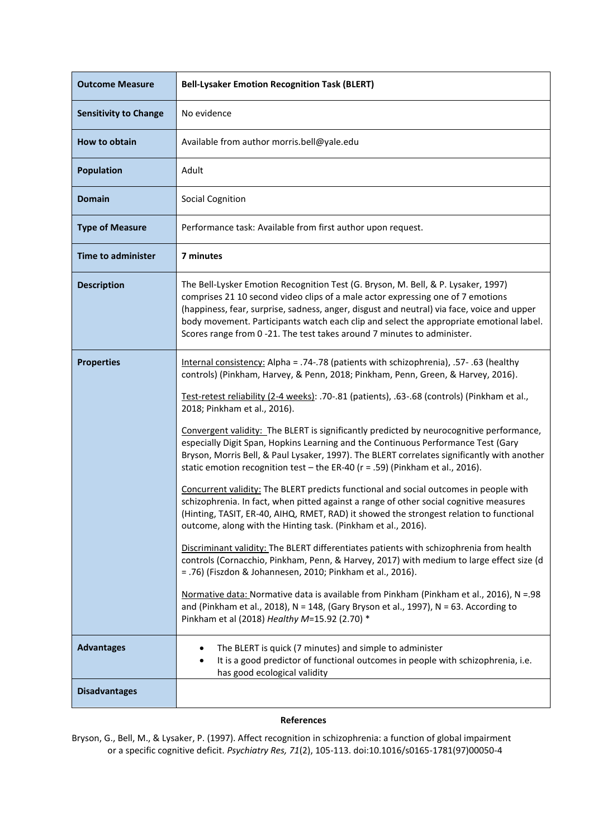| <b>Outcome Measure</b>       | <b>Bell-Lysaker Emotion Recognition Task (BLERT)</b>                                                                                                                                                                                                                                                                                                                                                                                                                                                                                                                                                                                                                                                                                                                                                                                                                                                                                                                                                                                                                                                                                                                                                                                                                                                                                                                                                                                                                                                                           |
|------------------------------|--------------------------------------------------------------------------------------------------------------------------------------------------------------------------------------------------------------------------------------------------------------------------------------------------------------------------------------------------------------------------------------------------------------------------------------------------------------------------------------------------------------------------------------------------------------------------------------------------------------------------------------------------------------------------------------------------------------------------------------------------------------------------------------------------------------------------------------------------------------------------------------------------------------------------------------------------------------------------------------------------------------------------------------------------------------------------------------------------------------------------------------------------------------------------------------------------------------------------------------------------------------------------------------------------------------------------------------------------------------------------------------------------------------------------------------------------------------------------------------------------------------------------------|
| <b>Sensitivity to Change</b> | No evidence                                                                                                                                                                                                                                                                                                                                                                                                                                                                                                                                                                                                                                                                                                                                                                                                                                                                                                                                                                                                                                                                                                                                                                                                                                                                                                                                                                                                                                                                                                                    |
| How to obtain                | Available from author morris.bell@yale.edu                                                                                                                                                                                                                                                                                                                                                                                                                                                                                                                                                                                                                                                                                                                                                                                                                                                                                                                                                                                                                                                                                                                                                                                                                                                                                                                                                                                                                                                                                     |
| <b>Population</b>            | Adult                                                                                                                                                                                                                                                                                                                                                                                                                                                                                                                                                                                                                                                                                                                                                                                                                                                                                                                                                                                                                                                                                                                                                                                                                                                                                                                                                                                                                                                                                                                          |
| <b>Domain</b>                | Social Cognition                                                                                                                                                                                                                                                                                                                                                                                                                                                                                                                                                                                                                                                                                                                                                                                                                                                                                                                                                                                                                                                                                                                                                                                                                                                                                                                                                                                                                                                                                                               |
| <b>Type of Measure</b>       | Performance task: Available from first author upon request.                                                                                                                                                                                                                                                                                                                                                                                                                                                                                                                                                                                                                                                                                                                                                                                                                                                                                                                                                                                                                                                                                                                                                                                                                                                                                                                                                                                                                                                                    |
| <b>Time to administer</b>    | 7 minutes                                                                                                                                                                                                                                                                                                                                                                                                                                                                                                                                                                                                                                                                                                                                                                                                                                                                                                                                                                                                                                                                                                                                                                                                                                                                                                                                                                                                                                                                                                                      |
| <b>Description</b>           | The Bell-Lysker Emotion Recognition Test (G. Bryson, M. Bell, & P. Lysaker, 1997)<br>comprises 21 10 second video clips of a male actor expressing one of 7 emotions<br>(happiness, fear, surprise, sadness, anger, disgust and neutral) via face, voice and upper<br>body movement. Participants watch each clip and select the appropriate emotional label.<br>Scores range from 0-21. The test takes around 7 minutes to administer.                                                                                                                                                                                                                                                                                                                                                                                                                                                                                                                                                                                                                                                                                                                                                                                                                                                                                                                                                                                                                                                                                        |
| <b>Properties</b>            | Internal consistency: Alpha = .74-.78 (patients with schizophrenia), .57- .63 (healthy<br>controls) (Pinkham, Harvey, & Penn, 2018; Pinkham, Penn, Green, & Harvey, 2016).<br>Test-retest reliability (2-4 weeks): .70-.81 (patients), .63-.68 (controls) (Pinkham et al.,<br>2018; Pinkham et al., 2016).<br>Convergent validity: The BLERT is significantly predicted by neurocognitive performance,<br>especially Digit Span, Hopkins Learning and the Continuous Performance Test (Gary<br>Bryson, Morris Bell, & Paul Lysaker, 1997). The BLERT correlates significantly with another<br>static emotion recognition test - the ER-40 ( $r = .59$ ) (Pinkham et al., 2016).<br>Concurrent validity: The BLERT predicts functional and social outcomes in people with<br>schizophrenia. In fact, when pitted against a range of other social cognitive measures<br>(Hinting, TASIT, ER-40, AIHQ, RMET, RAD) it showed the strongest relation to functional<br>outcome, along with the Hinting task. (Pinkham et al., 2016).<br>Discriminant validity: The BLERT differentiates patients with schizophrenia from health<br>controls (Cornacchio, Pinkham, Penn, & Harvey, 2017) with medium to large effect size (d<br>= .76) (Fiszdon & Johannesen, 2010; Pinkham et al., 2016).<br>Normative data: Normative data is available from Pinkham (Pinkham et al., 2016), N = 98<br>and (Pinkham et al., 2018), $N = 148$ , (Gary Bryson et al., 1997), $N = 63$ . According to<br>Pinkham et al (2018) Healthy M=15.92 (2.70) * |
| <b>Advantages</b>            | The BLERT is quick (7 minutes) and simple to administer<br>٠<br>It is a good predictor of functional outcomes in people with schizophrenia, i.e.<br>has good ecological validity                                                                                                                                                                                                                                                                                                                                                                                                                                                                                                                                                                                                                                                                                                                                                                                                                                                                                                                                                                                                                                                                                                                                                                                                                                                                                                                                               |
| <b>Disadvantages</b>         |                                                                                                                                                                                                                                                                                                                                                                                                                                                                                                                                                                                                                                                                                                                                                                                                                                                                                                                                                                                                                                                                                                                                                                                                                                                                                                                                                                                                                                                                                                                                |

## **References**

Bryson, G., Bell, M., & Lysaker, P. (1997). Affect recognition in schizophrenia: a function of global impairment or a specific cognitive deficit. *Psychiatry Res, 71*(2), 105-113. doi:10.1016/s0165-1781(97)00050-4